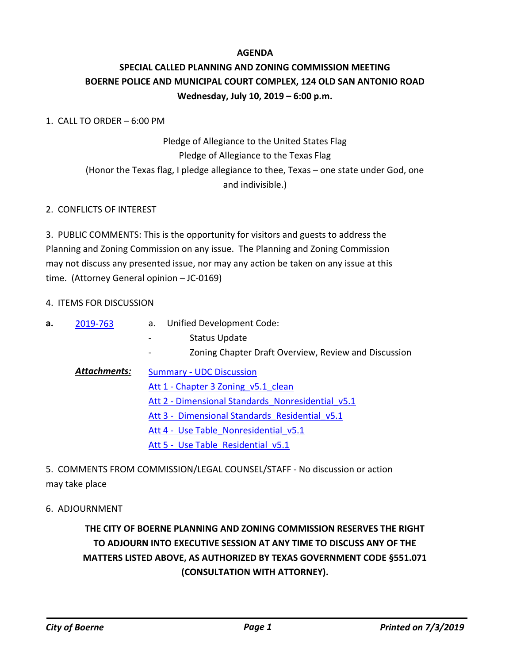### **AGENDA**

## **SPECIAL CALLED PLANNING AND ZONING COMMISSION MEETING BOERNE POLICE AND MUNICIPAL COURT COMPLEX, 124 OLD SAN ANTONIO ROAD Wednesday, July 10, 2019 – 6:00 p.m.**

#### 1. CALL TO ORDER – 6:00 PM

# Pledge of Allegiance to the United States Flag Pledge of Allegiance to the Texas Flag (Honor the Texas flag, I pledge allegiance to thee, Texas – one state under God, one and indivisible.)

### 2. CONFLICTS OF INTEREST

3. PUBLIC COMMENTS: This is the opportunity for visitors and guests to address the Planning and Zoning Commission on any issue. The Planning and Zoning Commission may not discuss any presented issue, nor may any action be taken on any issue at this time. (Attorney General opinion – JC-0169)

#### 4. ITEMS FOR DISCUSSION

| а. | 2019-763 |  | Unified Development Code: |
|----|----------|--|---------------------------|
|----|----------|--|---------------------------|

- Status Update
- Zoning Chapter Draft Overview, Review and Discussion
- [Summary UDC Discussion](http://boerne.legistar.com/gateway.aspx?M=F&ID=84ae5e42-7010-499d-a190-c8032563734f.doc) Att 1 - Chapter 3 Zoning v5.1 clean Att 2 - Dimensional Standards Nonresidential v5.1 Att 3 - Dimensional Standards Residential v5.1 Att 4 - Use Table Nonresidential v5.1 Att 5 - Use Table Residential v5.1 *Attachments:*

5. COMMENTS FROM COMMISSION/LEGAL COUNSEL/STAFF - No discussion or action may take place

#### 6. ADJOURNMENT

## **THE CITY OF BOERNE PLANNING AND ZONING COMMISSION RESERVES THE RIGHT TO ADJOURN INTO EXECUTIVE SESSION AT ANY TIME TO DISCUSS ANY OF THE MATTERS LISTED ABOVE, AS AUTHORIZED BY TEXAS GOVERNMENT CODE §551.071 (CONSULTATION WITH ATTORNEY).**